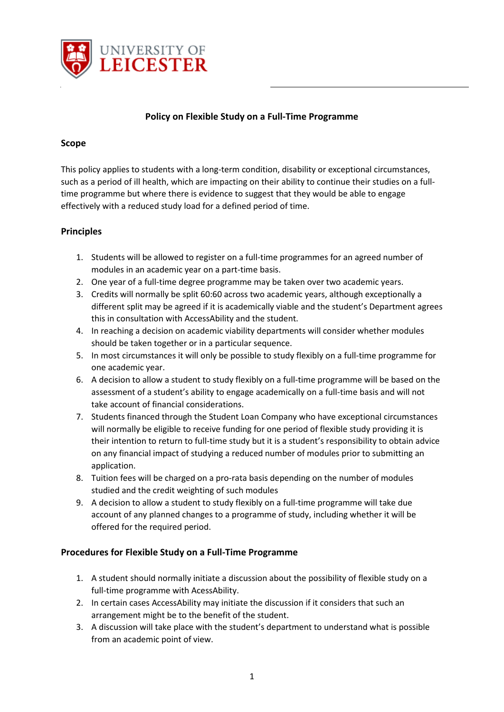

## **Policy on Flexible Study on a Full-Time Programme**

## **Scope**

This policy applies to students with a long-term condition, disability or exceptional circumstances, such as a period of ill health, which are impacting on their ability to continue their studies on a fulltime programme but where there is evidence to suggest that they would be able to engage effectively with a reduced study load for a defined period of time.

## **Principles**

- 1. Students will be allowed to register on a full-time programmes for an agreed number of modules in an academic year on a part-time basis.
- 2. One year of a full-time degree programme may be taken over two academic years.
- 3. Credits will normally be split 60:60 across two academic years, although exceptionally a different split may be agreed if it is academically viable and the student's Department agrees this in consultation with AccessAbility and the student.
- 4. In reaching a decision on academic viability departments will consider whether modules should be taken together or in a particular sequence.
- 5. In most circumstances it will only be possible to study flexibly on a full-time programme for one academic year.
- 6. A decision to allow a student to study flexibly on a full-time programme will be based on the assessment of a student's ability to engage academically on a full-time basis and will not take account of financial considerations.
- 7. Students financed through the Student Loan Company who have exceptional circumstances will normally be eligible to receive funding for one period of flexible study providing it is their intention to return to full-time study but it is a student's responsibility to obtain advice on any financial impact of studying a reduced number of modules prior to submitting an application.
- 8. Tuition fees will be charged on a pro-rata basis depending on the number of modules studied and the credit weighting of such modules
- 9. A decision to allow a student to study flexibly on a full-time programme will take due account of any planned changes to a programme of study, including whether it will be offered for the required period.

## **Procedures for Flexible Study on a Full-Time Programme**

- 1. A student should normally initiate a discussion about the possibility of flexible study on a full-time programme with AcessAbility.
- 2. In certain cases AccessAbility may initiate the discussion if it considers that such an arrangement might be to the benefit of the student.
- 3. A discussion will take place with the student's department to understand what is possible from an academic point of view.